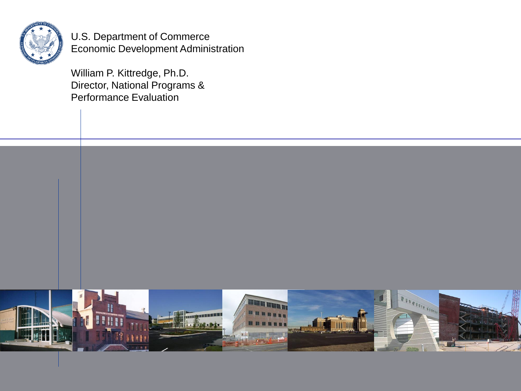

U.S. Department of Commerce Economic Development Administration

William P. Kittredge, Ph.D. Director, National Programs & Performance Evaluation

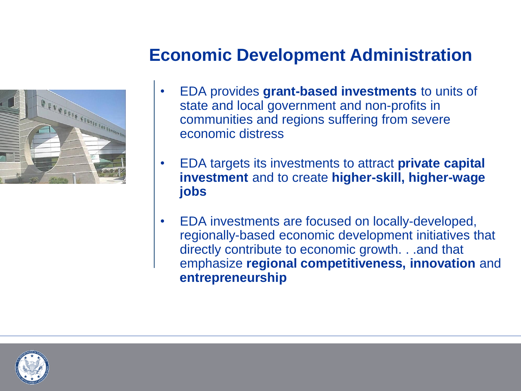# LE CEUTER FORTEFILITE

# **Economic Development Administration**

- EDA provides **grant-based investments** to units of state and local government and non-profits in communities and regions suffering from severe economic distress
- EDA targets its investments to attract **private capital investment** and to create **higher-skill, higher-wage jobs**
- EDA investments are focused on locally-developed, regionally-based economic development initiatives that directly contribute to economic growth. . .and that emphasize **regional competitiveness, innovation** and **entrepreneurship**

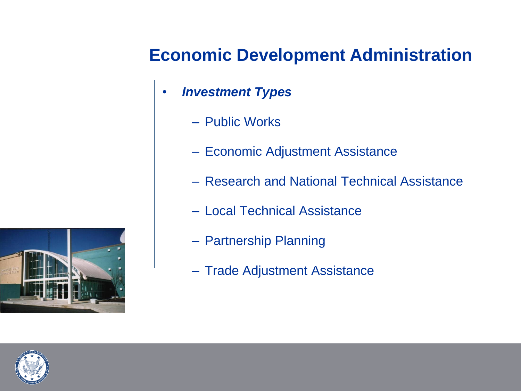# **Economic Development Administration**

- *Investment Types* 
	- Public Works
	- Economic Adjustment Assistance
	- Research and National Technical Assistance
	- Local Technical Assistance
	- Partnership Planning
	- Trade Adjustment Assistance

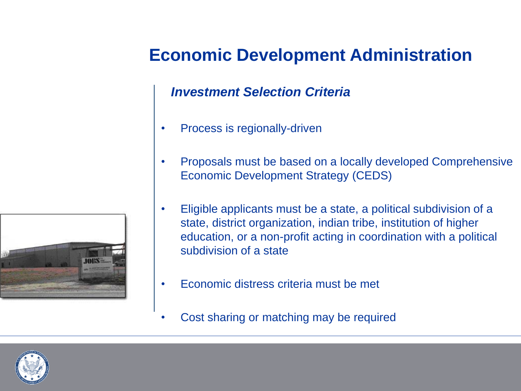# **Economic Development Administration**

#### *Investment Selection Criteria*

- Process is regionally-driven
- Proposals must be based on a locally developed Comprehensive Economic Development Strategy (CEDS)
- Eligible applicants must be a state, a political subdivision of a state, district organization, indian tribe, institution of higher education, or a non-profit acting in coordination with a political subdivision of a state
- Economic distress criteria must be met
- Cost sharing or matching may be required



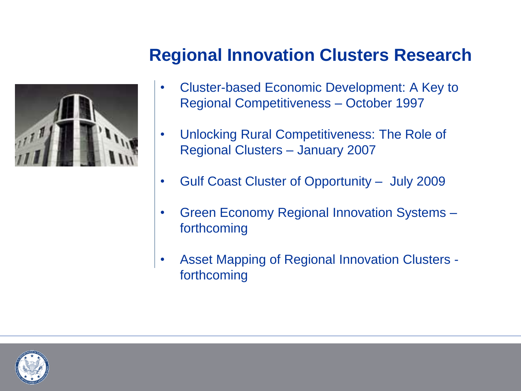# **Regional Innovation Clusters Research**

- Cluster-based Economic Development: A Key to Regional Competitiveness – October 1997
- Unlocking Rural Competitiveness: The Role of Regional Clusters – January 2007
- Gulf Coast Cluster of Opportunity July 2009
- Green Economy Regional Innovation Systems forthcoming
- Asset Mapping of Regional Innovation Clusters forthcoming

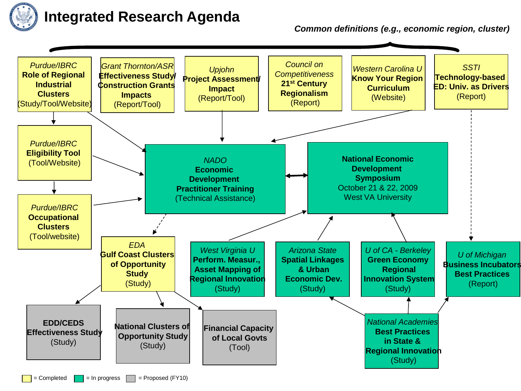

#### **Integrated Research Agenda**

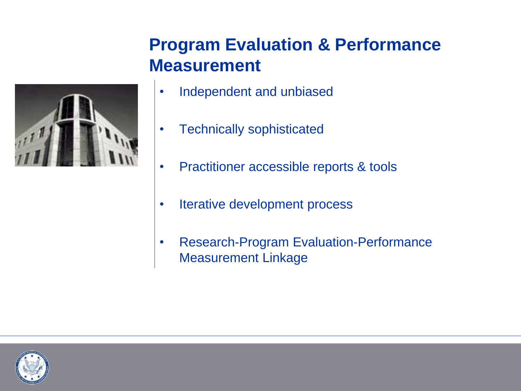# **Program Evaluation & Performance Measurement**



- Independent and unbiased
- Technically sophisticated
- Practitioner accessible reports & tools
- Iterative development process
- Research-Program Evaluation-Performance Measurement Linkage

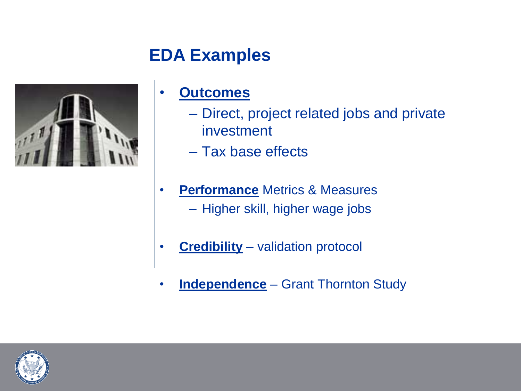# **EDA Examples**



## • **Outcomes**

- Direct, project related jobs and private investment
- Tax base effects
- **Performance** Metrics & Measures – Higher skill, higher wage jobs
- **Credibility** validation protocol
- **Independence** Grant Thornton Study

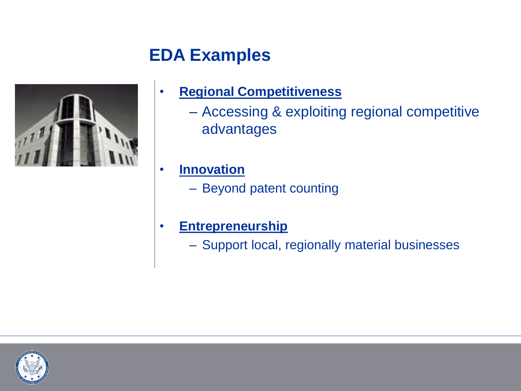# **EDA Examples**



### • **Regional Competitiveness**

– Accessing & exploiting regional competitive advantages

• **Innovation** 

- Beyond patent counting
- **Entrepreneurship** 
	- Support local, regionally material businesses